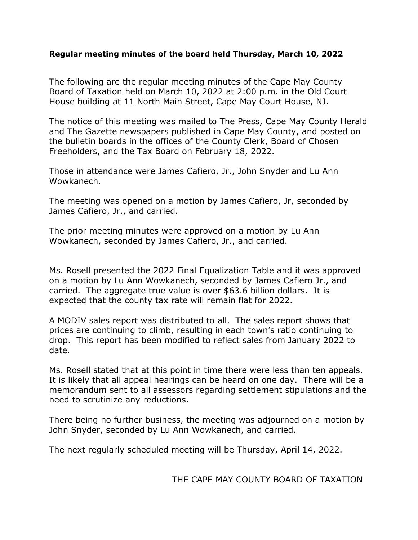## **Regular meeting minutes of the board held Thursday, March 10, 2022**

The following are the regular meeting minutes of the Cape May County Board of Taxation held on March 10, 2022 at 2:00 p.m. in the Old Court House building at 11 North Main Street, Cape May Court House, NJ.

The notice of this meeting was mailed to The Press, Cape May County Herald and The Gazette newspapers published in Cape May County, and posted on the bulletin boards in the offices of the County Clerk, Board of Chosen Freeholders, and the Tax Board on February 18, 2022.

Those in attendance were James Cafiero, Jr., John Snyder and Lu Ann Wowkanech.

The meeting was opened on a motion by James Cafiero, Jr, seconded by James Cafiero, Jr., and carried.

The prior meeting minutes were approved on a motion by Lu Ann Wowkanech, seconded by James Cafiero, Jr., and carried.

Ms. Rosell presented the 2022 Final Equalization Table and it was approved on a motion by Lu Ann Wowkanech, seconded by James Cafiero Jr., and carried. The aggregate true value is over \$63.6 billion dollars. It is expected that the county tax rate will remain flat for 2022.

A MODIV sales report was distributed to all. The sales report shows that prices are continuing to climb, resulting in each town's ratio continuing to drop. This report has been modified to reflect sales from January 2022 to date.

Ms. Rosell stated that at this point in time there were less than ten appeals. It is likely that all appeal hearings can be heard on one day. There will be a memorandum sent to all assessors regarding settlement stipulations and the need to scrutinize any reductions.

There being no further business, the meeting was adjourned on a motion by John Snyder, seconded by Lu Ann Wowkanech, and carried.

The next regularly scheduled meeting will be Thursday, April 14, 2022.

THE CAPE MAY COUNTY BOARD OF TAXATION